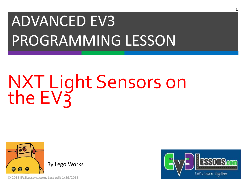## ADVANCED EV3 PROGRAMMING LESSON

# NXT Light Sensors on the EV3



**© 2015 EV3Lessons.com, Last edit 1/29/2015**

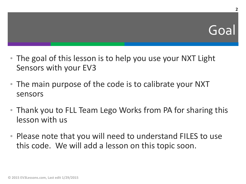**2**

- The goal of this lesson is to help you use your NXT Light Sensors with your EV3
- The main purpose of the code is to calibrate your NXT sensors
- Thank you to FLL Team Lego Works from PA for sharing this lesson with us
- Please note that you will need to understand FILES to use this code. We will add a lesson on this topic soon.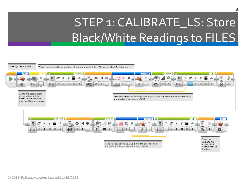#### STEP 1: CALIBRATE\_LS: Store Black/White Readings to FILES



Take raw sensor value, put it into the second line of the calibrate file access block, and display

calibrate file access block: reverts back to first line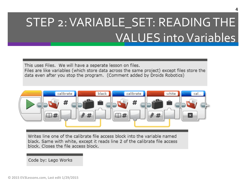#### STEP 2: VARIABLE\_SET: READING THE VALUES into Variables

This uses Files. We will have a seperate lesson on files. Files are like variables (which store data across the same project) except files store the data even after you stop the program. (Comment added by Droids Robotics)



Writes line one of the calibrate file access block into the variable named black. Same with white, except it reads line 2 of the calibrate file access block. Closes the file access block.

Code by: Lego Works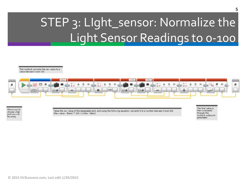#### STEP 3: LIght\_sensor: Normalize the Light Sensor Readings to 0-100

This myblock converts the raw value to a value between 0 and 100



Allows you to choose what port you will be using

Takes the raw value of the designated port, and using the following equation, converts it to a number between 0 and 100 (Raw value - Black) \* 100 / (white - black)

The final value is then is accesed through the myblock outbound parameter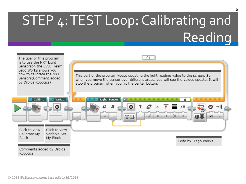### STEP 4: TEST Loop: Calibrating and **Reading**

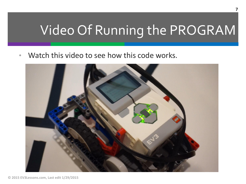#### Video Of Running the PROGRAM

Watch this video to see how this code works.

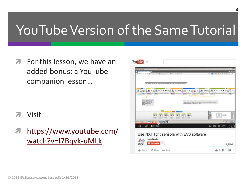### YouTube Version of the Same Tutorial

**T** For this lesson, we have an added bonus: a YouTube companion lesson…

- Visit
- [https://www.youtube.com/](https://www.youtube.com/watch?v=I7Bqvk-uMLk) watch?v=I7Bqvk-uMLk